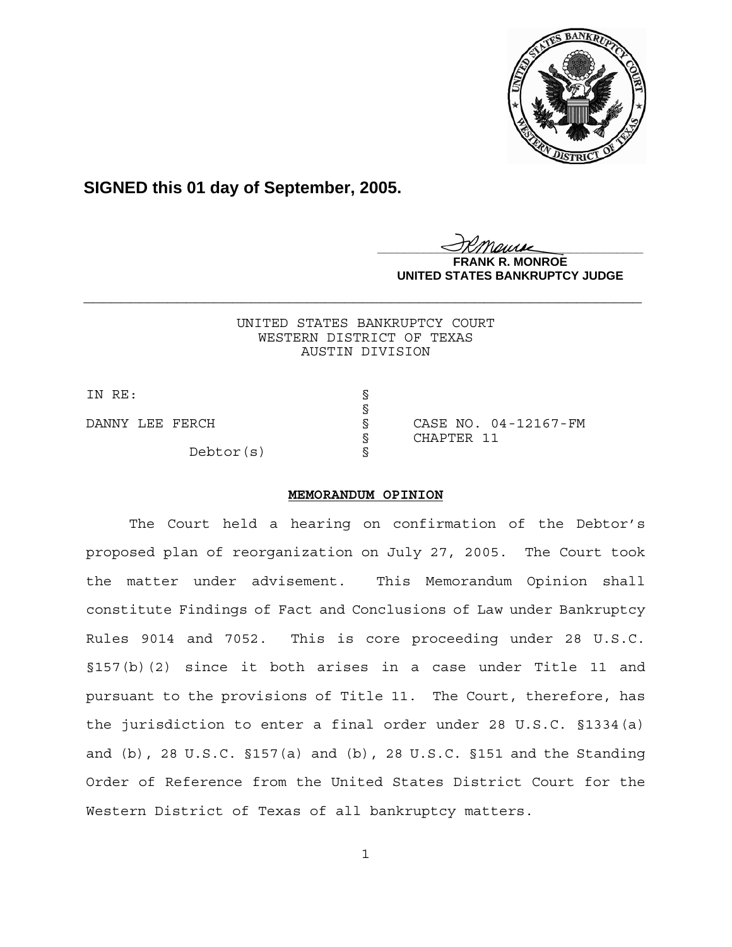

**SIGNED this 01 day of September, 2005.**

<u>IKThemse</u> **MONROE UNITED STATES BANKRUPTCY JUDGE**

UNITED STATES BANKRUPTCY COURT WESTERN DISTRICT OF TEXAS AUSTIN DIVISION

**\_\_\_\_\_\_\_\_\_\_\_\_\_\_\_\_\_\_\_\_\_\_\_\_\_\_\_\_\_\_\_\_\_\_\_\_\_\_\_\_\_\_\_\_\_\_\_\_\_\_\_\_\_\_\_\_\_\_\_\_**

IN RE: § §

Debtor(s) §

DANNY LEE FERCH S SCASE NO. 04-12167-FM § CHAPTER 11

# **MEMORANDUM OPINION**

The Court held a hearing on confirmation of the Debtor's proposed plan of reorganization on July 27, 2005. The Court took the matter under advisement. This Memorandum Opinion shall constitute Findings of Fact and Conclusions of Law under Bankruptcy Rules 9014 and 7052. This is core proceeding under 28 U.S.C. §157(b)(2) since it both arises in a case under Title 11 and pursuant to the provisions of Title 11. The Court, therefore, has the jurisdiction to enter a final order under 28 U.S.C. §1334(a) and (b), 28 U.S.C. §157(a) and (b), 28 U.S.C. §151 and the Standing Order of Reference from the United States District Court for the Western District of Texas of all bankruptcy matters.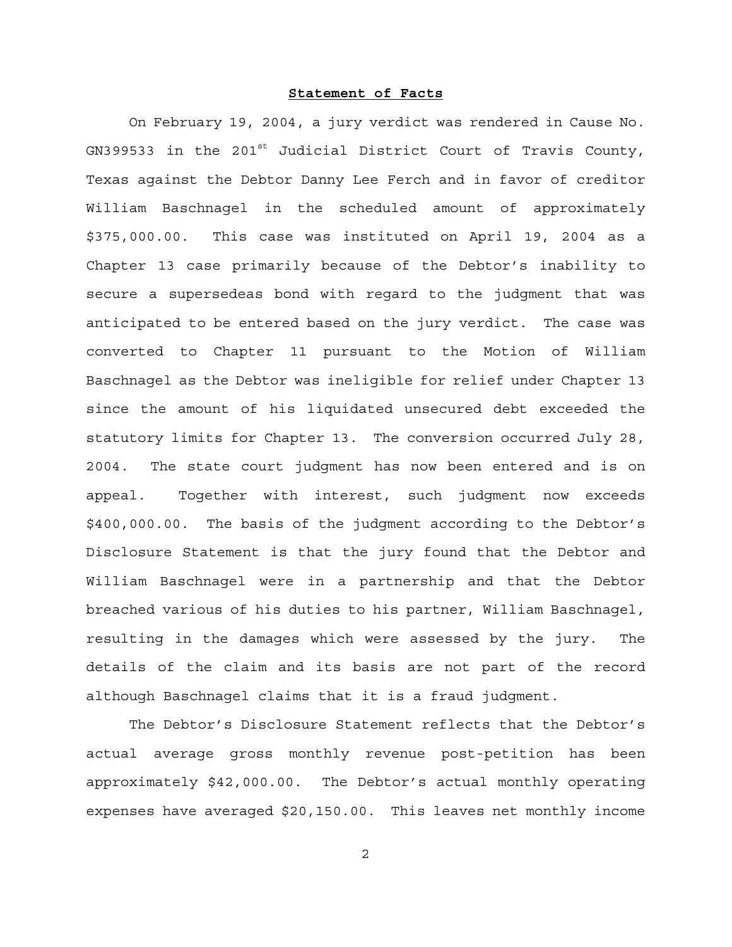### **Statement of Facts**

On February 19, 2004, a jury verdict was rendered in Cause No.  $GN399533$  in the 201st Judicial District Court of Travis County, Texas against the Debtor Danny Lee Ferch and in favor of creditor William Baschnagel in the scheduled amount of approximately \$375,000.00. This case was instituted on April 19, 2004 as a Chapter 13 case primarily because of the Debtor's inability to secure a supersedeas bond with regard to the judgment that was anticipated to be entered based on the jury verdict. The case was converted to Chapter 11 pursuant to the Motion of William Baschnagel as the Debtor was ineligible for relief under Chapter 13 since the amount of his liquidated unsecured debt exceeded the statutory limits for Chapter 13. The conversion occurred July 28, 2004. The state court judgment has now been entered and is on appeal. Together with interest, such judgment now exceeds \$400,000.00. The basis of the judgment according to the Debtor's Disclosure Statement is that the jury found that the Debtor and William Baschnagel were in a partnership and that the Debtor breached various of his duties to his partner, William Baschnagel, resulting in the damages which were assessed by the jury. The details of the claim and its basis are not part of the record although Baschnagel claims that it is a fraud judgment.

The Debtor's Disclosure Statement reflects that the Debtor's actual average gross monthly revenue post-petition has been approximately \$42,000.00. The Debtor's actual monthly operating expenses have averaged \$20,150.00. This leaves net monthly income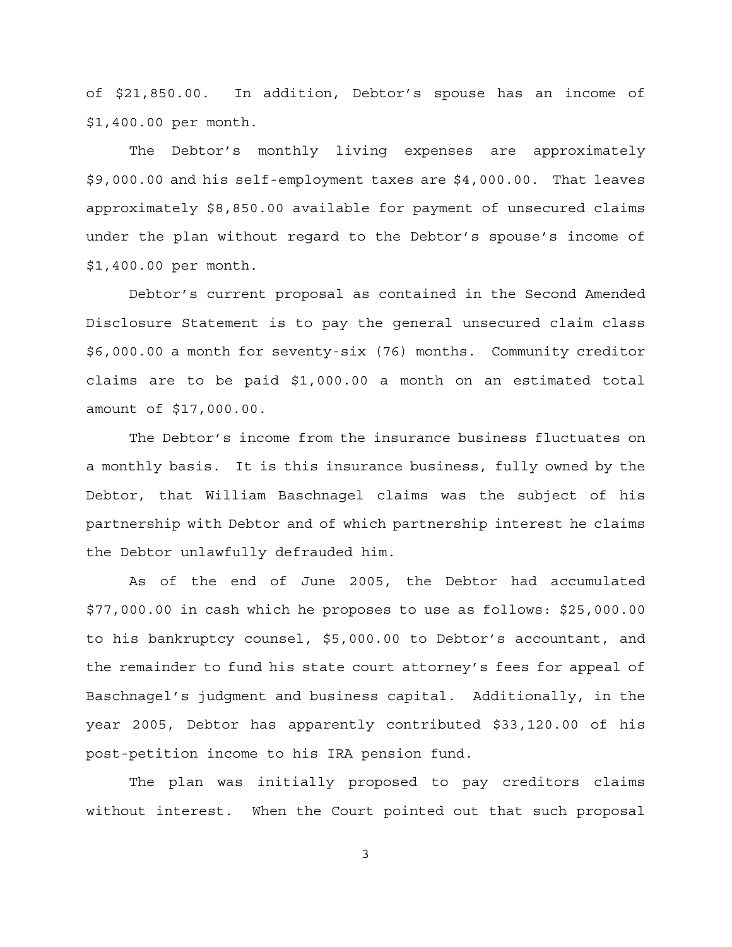of \$21,850.00. In addition, Debtor's spouse has an income of \$1,400.00 per month.

The Debtor's monthly living expenses are approximately \$9,000.00 and his self-employment taxes are \$4,000.00. That leaves approximately \$8,850.00 available for payment of unsecured claims under the plan without regard to the Debtor's spouse's income of \$1,400.00 per month.

Debtor's current proposal as contained in the Second Amended Disclosure Statement is to pay the general unsecured claim class \$6,000.00 a month for seventy-six (76) months. Community creditor claims are to be paid \$1,000.00 a month on an estimated total amount of \$17,000.00.

The Debtor's income from the insurance business fluctuates on a monthly basis. It is this insurance business, fully owned by the Debtor, that William Baschnagel claims was the subject of his partnership with Debtor and of which partnership interest he claims the Debtor unlawfully defrauded him.

As of the end of June 2005, the Debtor had accumulated \$77,000.00 in cash which he proposes to use as follows: \$25,000.00 to his bankruptcy counsel, \$5,000.00 to Debtor's accountant, and the remainder to fund his state court attorney's fees for appeal of Baschnagel's judgment and business capital. Additionally, in the year 2005, Debtor has apparently contributed \$33,120.00 of his post-petition income to his IRA pension fund.

The plan was initially proposed to pay creditors claims without interest. When the Court pointed out that such proposal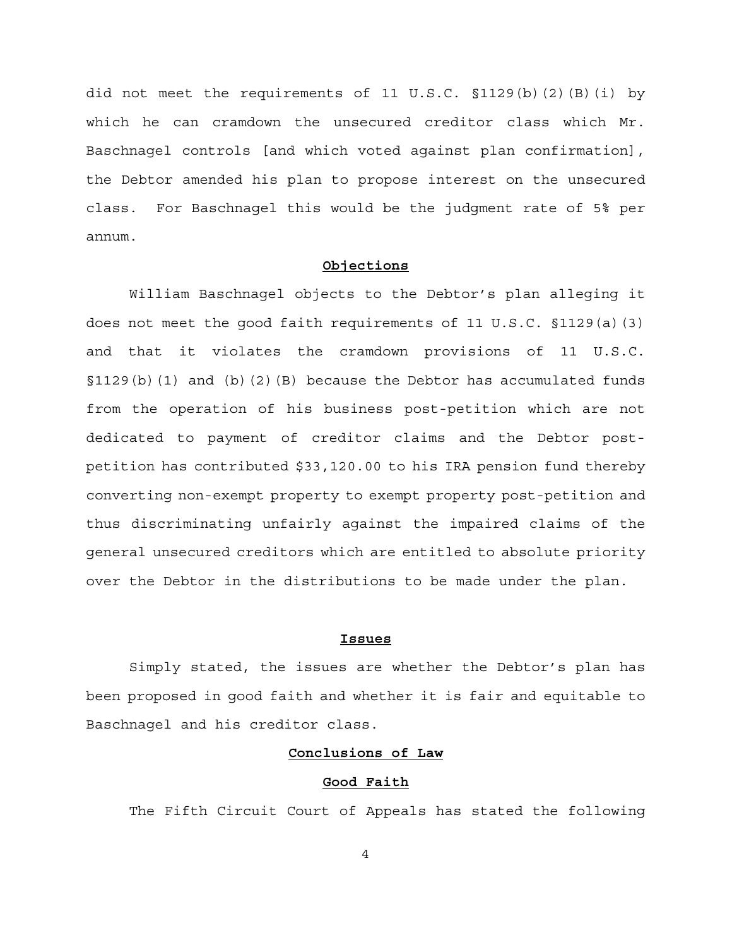did not meet the requirements of 11 U.S.C. §1129(b)(2)(B)(i) by which he can cramdown the unsecured creditor class which Mr. Baschnagel controls [and which voted against plan confirmation], the Debtor amended his plan to propose interest on the unsecured class. For Baschnagel this would be the judgment rate of 5% per annum.

### **Objections**

William Baschnagel objects to the Debtor's plan alleging it does not meet the good faith requirements of 11 U.S.C. §1129(a)(3) and that it violates the cramdown provisions of 11 U.S.C.  $\S1129(b)(1)$  and (b)(2)(B) because the Debtor has accumulated funds from the operation of his business post-petition which are not dedicated to payment of creditor claims and the Debtor postpetition has contributed \$33,120.00 to his IRA pension fund thereby converting non-exempt property to exempt property post-petition and thus discriminating unfairly against the impaired claims of the general unsecured creditors which are entitled to absolute priority over the Debtor in the distributions to be made under the plan.

### **Issues**

Simply stated, the issues are whether the Debtor's plan has been proposed in good faith and whether it is fair and equitable to Baschnagel and his creditor class.

### **Conclusions of Law**

## **Good Faith**

The Fifth Circuit Court of Appeals has stated the following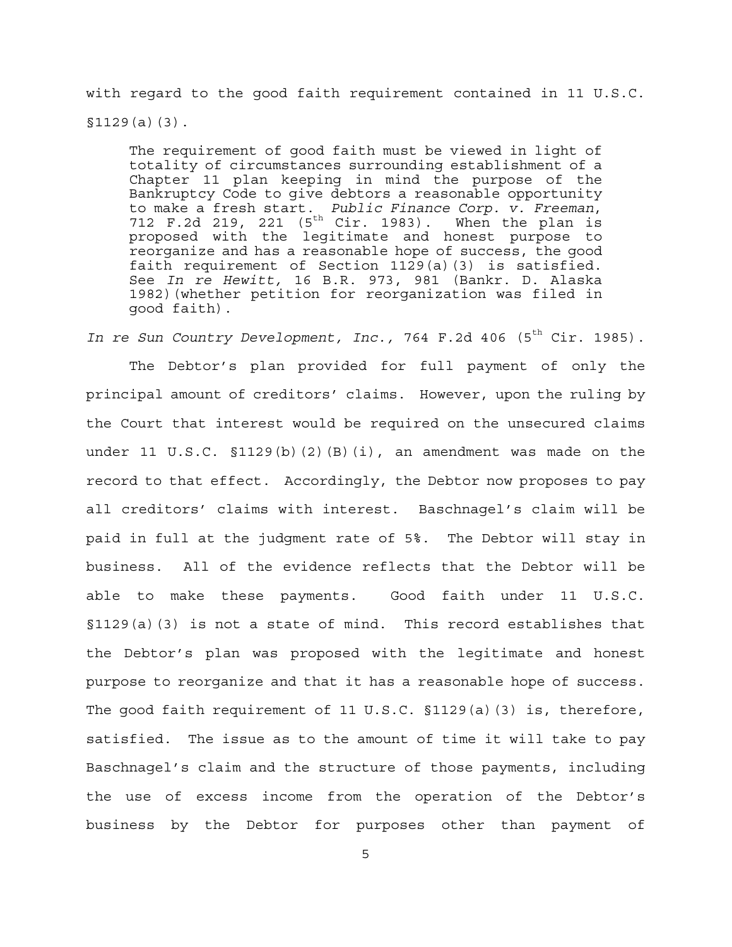with regard to the good faith requirement contained in 11 U.S.C.  $$1129(a)(3)$ .

The requirement of good faith must be viewed in light of totality of circumstances surrounding establishment of a Chapter 11 plan keeping in mind the purpose of the Bankruptcy Code to give debtors a reasonable opportunity to make a fresh start. *Public Finance Corp. v. Freeman*, 712 F.2d 219, 221 ( $5^{th}$  Cir. 1983). When the plan is proposed with the legitimate and honest purpose to reorganize and has a reasonable hope of success, the good faith requirement of Section 1129(a)(3) is satisfied. See *In re Hewitt,* 16 B.R. 973, 981 (Bankr. D. Alaska 1982)(whether petition for reorganization was filed in good faith).

In re Sun Country Development, Inc., 764 F.2d 406 (5<sup>th</sup> Cir. 1985). The Debtor's plan provided for full payment of only the principal amount of creditors' claims. However, upon the ruling by the Court that interest would be required on the unsecured claims under 11 U.S.C. §1129(b)(2)(B)(i), an amendment was made on the record to that effect. Accordingly, the Debtor now proposes to pay all creditors' claims with interest. Baschnagel's claim will be paid in full at the judgment rate of 5%. The Debtor will stay in business. All of the evidence reflects that the Debtor will be able to make these payments. Good faith under 11 U.S.C. §1129(a)(3) is not a state of mind. This record establishes that the Debtor's plan was proposed with the legitimate and honest purpose to reorganize and that it has a reasonable hope of success. The good faith requirement of 11 U.S.C. §1129(a)(3) is, therefore, satisfied. The issue as to the amount of time it will take to pay Baschnagel's claim and the structure of those payments, including the use of excess income from the operation of the Debtor's business by the Debtor for purposes other than payment of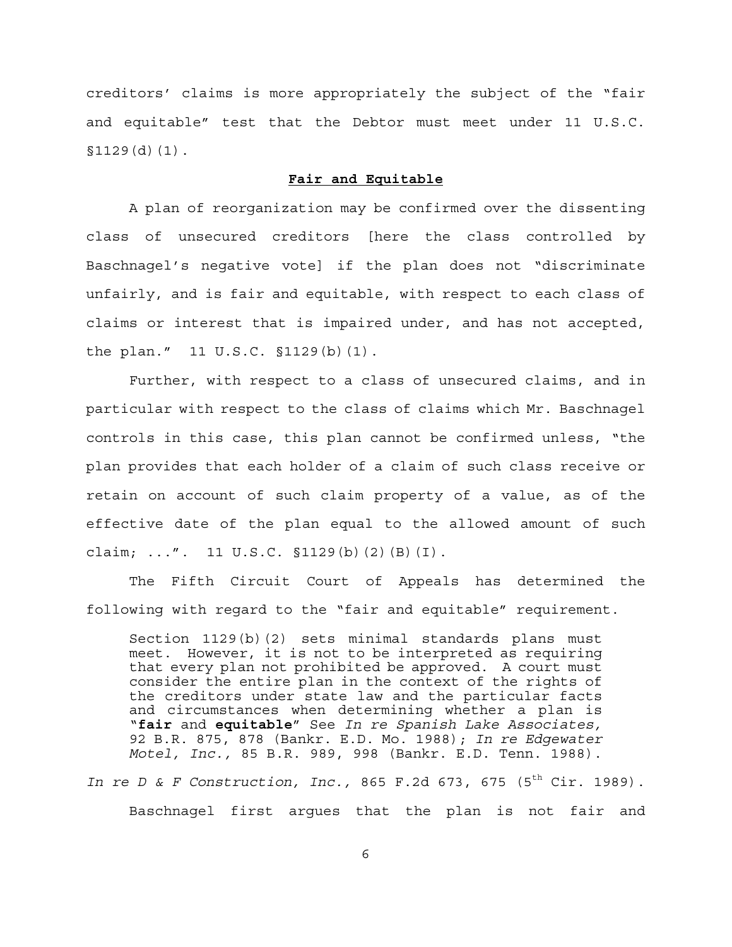creditors' claims is more appropriately the subject of the "fair and equitable" test that the Debtor must meet under 11 U.S.C.  $$1129(d)(1)$ .

### **Fair and Equitable**

A plan of reorganization may be confirmed over the dissenting class of unsecured creditors [here the class controlled by Baschnagel's negative vote] if the plan does not "discriminate unfairly, and is fair and equitable, with respect to each class of claims or interest that is impaired under, and has not accepted, the plan." 11 U.S.C. §1129(b)(1).

Further, with respect to a class of unsecured claims, and in particular with respect to the class of claims which Mr. Baschnagel controls in this case, this plan cannot be confirmed unless, "the plan provides that each holder of a claim of such class receive or retain on account of such claim property of a value, as of the effective date of the plan equal to the allowed amount of such claim; ...". 11 U.S.C. §1129(b)(2)(B)(I).

The Fifth Circuit Court of Appeals has determined the following with regard to the "fair and equitable" requirement.

Section 1129(b)(2) sets minimal standards plans must meet. However, it is not to be interpreted as requiring that every plan not prohibited be approved. A court must consider the entire plan in the context of the rights of the creditors under state law and the particular facts and circumstances when determining whether a plan is "**fair** and **equitable**" See *In re Spanish Lake Associates,* 92 B.R. 875, 878 (Bankr. E.D. Mo. 1988); *In re Edgewater Motel, Inc.,* 85 B.R. 989, 998 (Bankr. E.D. Tenn. 1988).

*In re D & F Construction, Inc.,* 865 F.2d 673, 675 (5<sup>th</sup> Cir. 1989). Baschnagel first argues that the plan is not fair and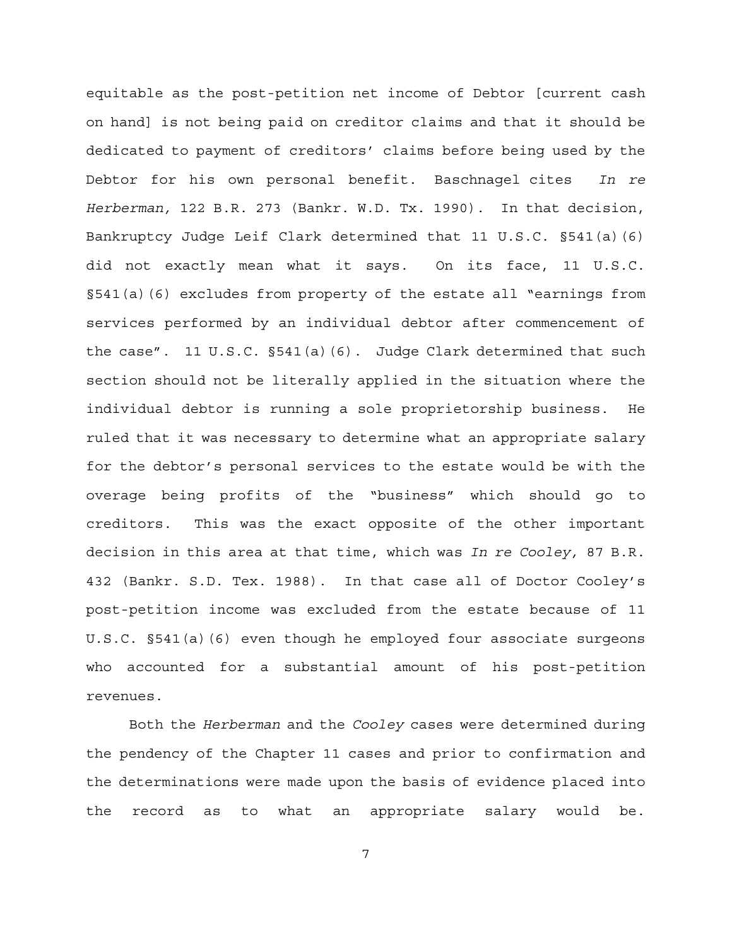equitable as the post-petition net income of Debtor [current cash on hand] is not being paid on creditor claims and that it should be dedicated to payment of creditors' claims before being used by the Debtor for his own personal benefit. Baschnagel cites *In re Herberman,* 122 B.R. 273 (Bankr. W.D. Tx. 1990). In that decision, Bankruptcy Judge Leif Clark determined that 11 U.S.C. §541(a)(6) did not exactly mean what it says. On its face, 11 U.S.C. §541(a)(6) excludes from property of the estate all "earnings from services performed by an individual debtor after commencement of the case". 11 U.S.C. §541(a)(6). Judge Clark determined that such section should not be literally applied in the situation where the individual debtor is running a sole proprietorship business. He ruled that it was necessary to determine what an appropriate salary for the debtor's personal services to the estate would be with the overage being profits of the "business" which should go to creditors. This was the exact opposite of the other important decision in this area at that time, which was *In re Cooley,* 87 B.R. 432 (Bankr. S.D. Tex. 1988). In that case all of Doctor Cooley's post-petition income was excluded from the estate because of 11 U.S.C. §541(a)(6) even though he employed four associate surgeons who accounted for a substantial amount of his post-petition revenues.

Both the *Herberman* and the *Cooley* cases were determined during the pendency of the Chapter 11 cases and prior to confirmation and the determinations were made upon the basis of evidence placed into the record as to what an appropriate salary would be.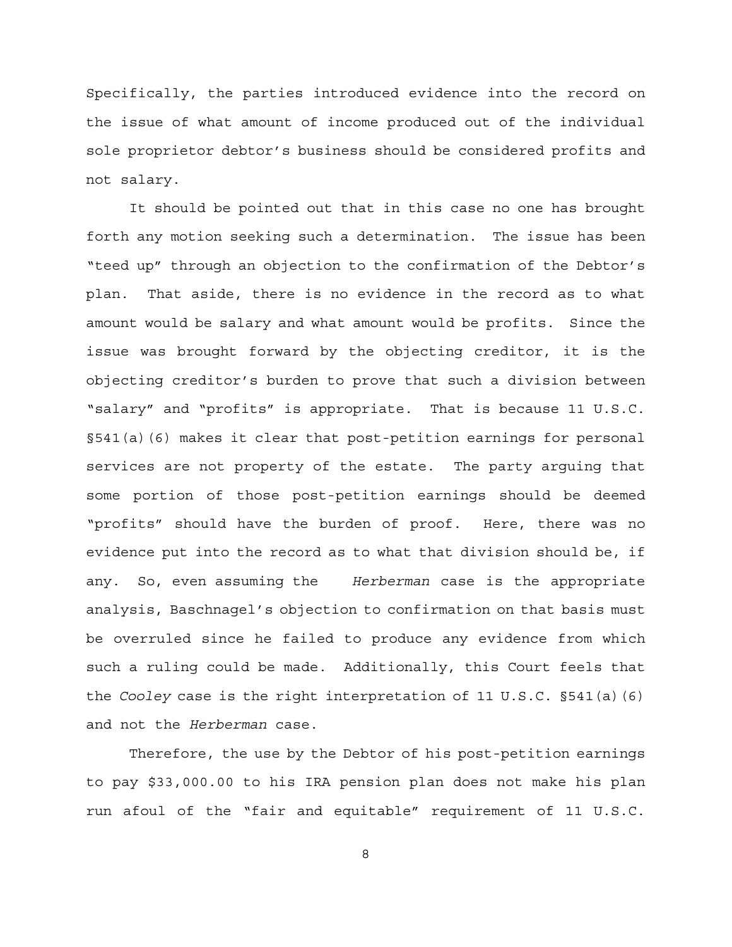Specifically, the parties introduced evidence into the record on the issue of what amount of income produced out of the individual sole proprietor debtor's business should be considered profits and not salary.

It should be pointed out that in this case no one has brought forth any motion seeking such a determination. The issue has been "teed up" through an objection to the confirmation of the Debtor's plan. That aside, there is no evidence in the record as to what amount would be salary and what amount would be profits. Since the issue was brought forward by the objecting creditor, it is the objecting creditor's burden to prove that such a division between "salary" and "profits" is appropriate. That is because 11 U.S.C. §541(a)(6) makes it clear that post-petition earnings for personal services are not property of the estate. The party arguing that some portion of those post-petition earnings should be deemed "profits" should have the burden of proof. Here, there was no evidence put into the record as to what that division should be, if any. So, even assuming the *Herberman* case is the appropriate analysis, Baschnagel's objection to confirmation on that basis must be overruled since he failed to produce any evidence from which such a ruling could be made. Additionally, this Court feels that the *Cooley* case is the right interpretation of 11 U.S.C. §541(a)(6) and not the *Herberman* case.

Therefore, the use by the Debtor of his post-petition earnings to pay \$33,000.00 to his IRA pension plan does not make his plan run afoul of the "fair and equitable" requirement of 11 U.S.C.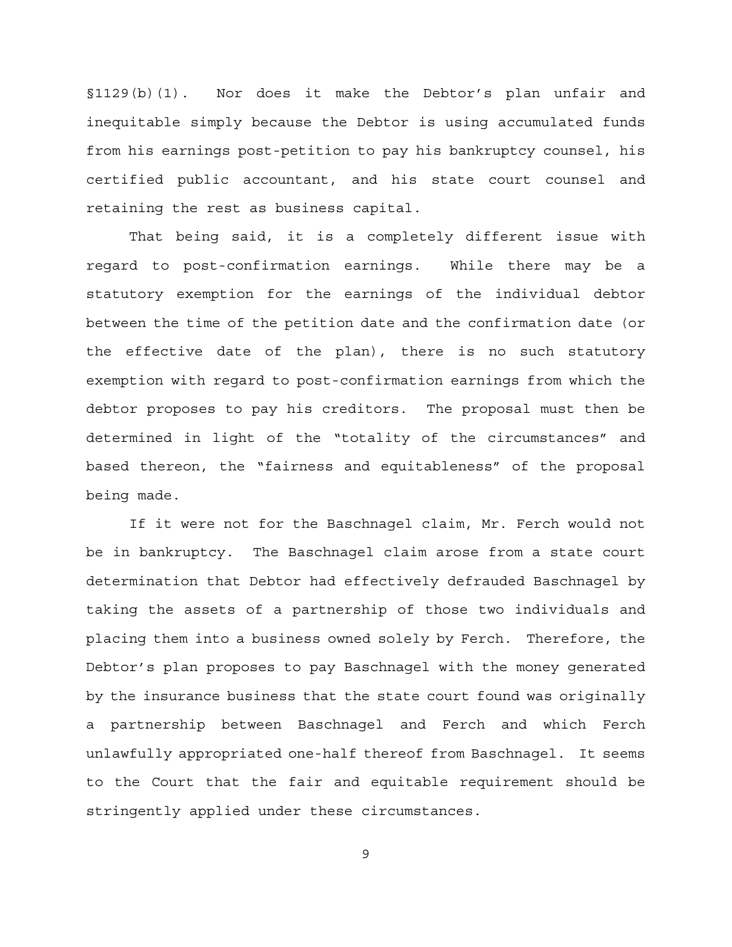§1129(b)(1). Nor does it make the Debtor's plan unfair and inequitable simply because the Debtor is using accumulated funds from his earnings post-petition to pay his bankruptcy counsel, his certified public accountant, and his state court counsel and retaining the rest as business capital.

That being said, it is a completely different issue with regard to post-confirmation earnings. While there may be a statutory exemption for the earnings of the individual debtor between the time of the petition date and the confirmation date (or the effective date of the plan), there is no such statutory exemption with regard to post-confirmation earnings from which the debtor proposes to pay his creditors. The proposal must then be determined in light of the "totality of the circumstances" and based thereon, the "fairness and equitableness" of the proposal being made.

If it were not for the Baschnagel claim, Mr. Ferch would not be in bankruptcy. The Baschnagel claim arose from a state court determination that Debtor had effectively defrauded Baschnagel by taking the assets of a partnership of those two individuals and placing them into a business owned solely by Ferch. Therefore, the Debtor's plan proposes to pay Baschnagel with the money generated by the insurance business that the state court found was originally a partnership between Baschnagel and Ferch and which Ferch unlawfully appropriated one-half thereof from Baschnagel. It seems to the Court that the fair and equitable requirement should be stringently applied under these circumstances.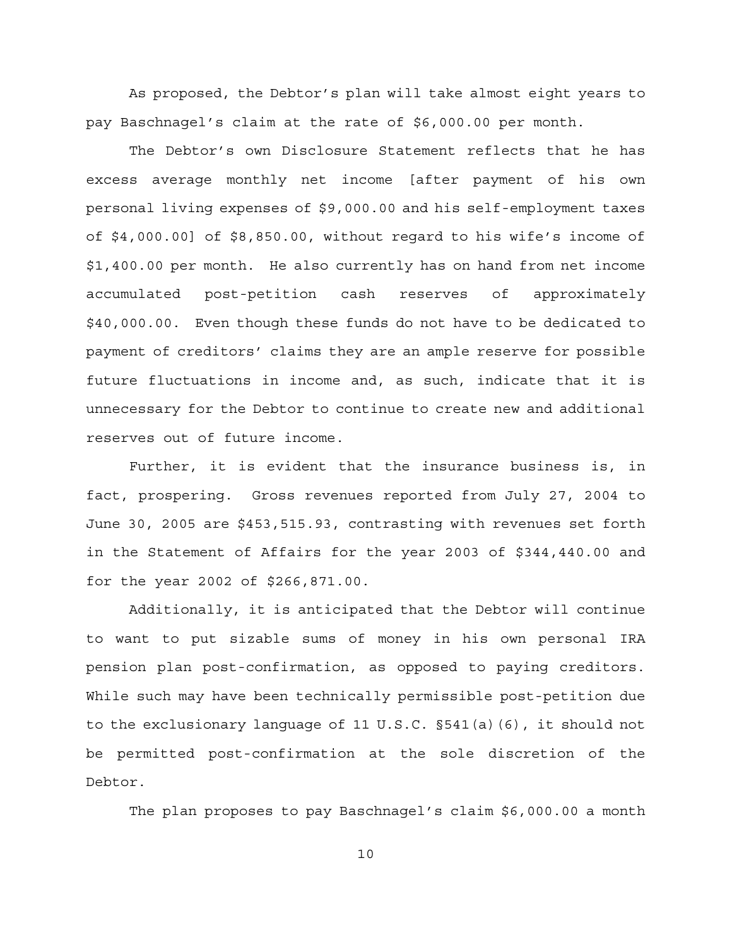As proposed, the Debtor's plan will take almost eight years to pay Baschnagel's claim at the rate of \$6,000.00 per month.

The Debtor's own Disclosure Statement reflects that he has excess average monthly net income [after payment of his own personal living expenses of \$9,000.00 and his self-employment taxes of \$4,000.00] of \$8,850.00, without regard to his wife's income of \$1,400.00 per month. He also currently has on hand from net income accumulated post-petition cash reserves of approximately \$40,000.00. Even though these funds do not have to be dedicated to payment of creditors' claims they are an ample reserve for possible future fluctuations in income and, as such, indicate that it is unnecessary for the Debtor to continue to create new and additional reserves out of future income.

Further, it is evident that the insurance business is, in fact, prospering. Gross revenues reported from July 27, 2004 to June 30, 2005 are \$453,515.93, contrasting with revenues set forth in the Statement of Affairs for the year 2003 of \$344,440.00 and for the year 2002 of \$266,871.00.

Additionally, it is anticipated that the Debtor will continue to want to put sizable sums of money in his own personal IRA pension plan post-confirmation, as opposed to paying creditors. While such may have been technically permissible post-petition due to the exclusionary language of 11 U.S.C. §541(a)(6), it should not be permitted post-confirmation at the sole discretion of the Debtor.

The plan proposes to pay Baschnagel's claim \$6,000.00 a month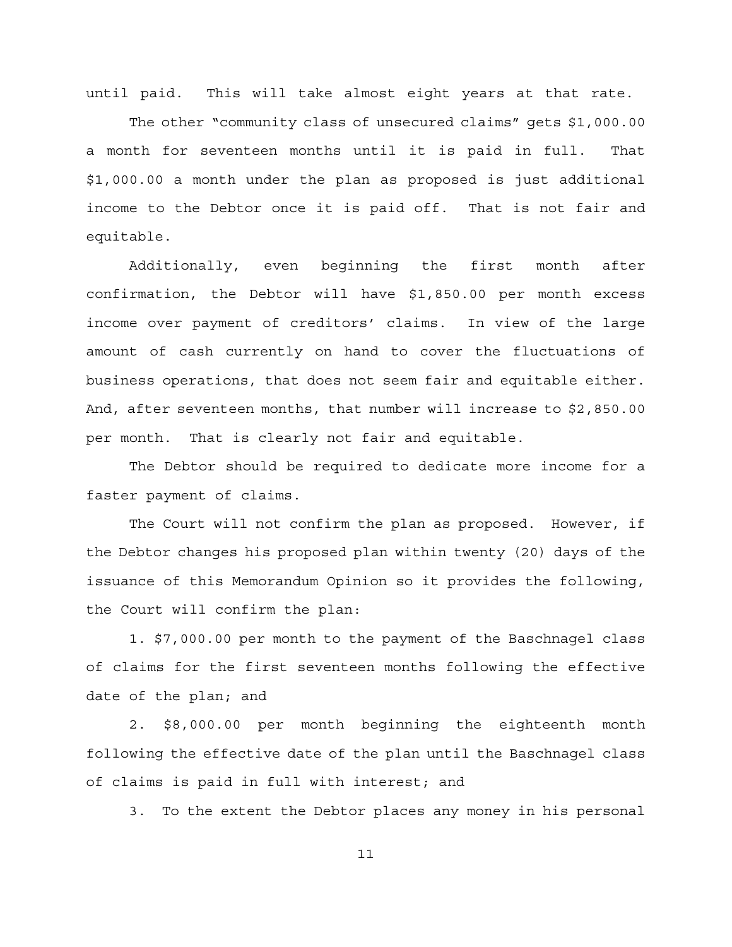until paid. This will take almost eight years at that rate.

The other "community class of unsecured claims" gets \$1,000.00 a month for seventeen months until it is paid in full. That \$1,000.00 a month under the plan as proposed is just additional income to the Debtor once it is paid off. That is not fair and equitable.

Additionally, even beginning the first month after confirmation, the Debtor will have \$1,850.00 per month excess income over payment of creditors' claims. In view of the large amount of cash currently on hand to cover the fluctuations of business operations, that does not seem fair and equitable either. And, after seventeen months, that number will increase to \$2,850.00 per month. That is clearly not fair and equitable.

The Debtor should be required to dedicate more income for a faster payment of claims.

The Court will not confirm the plan as proposed. However, if the Debtor changes his proposed plan within twenty (20) days of the issuance of this Memorandum Opinion so it provides the following, the Court will confirm the plan:

1. \$7,000.00 per month to the payment of the Baschnagel class of claims for the first seventeen months following the effective date of the plan; and

2. \$8,000.00 per month beginning the eighteenth month following the effective date of the plan until the Baschnagel class of claims is paid in full with interest; and

3. To the extent the Debtor places any money in his personal